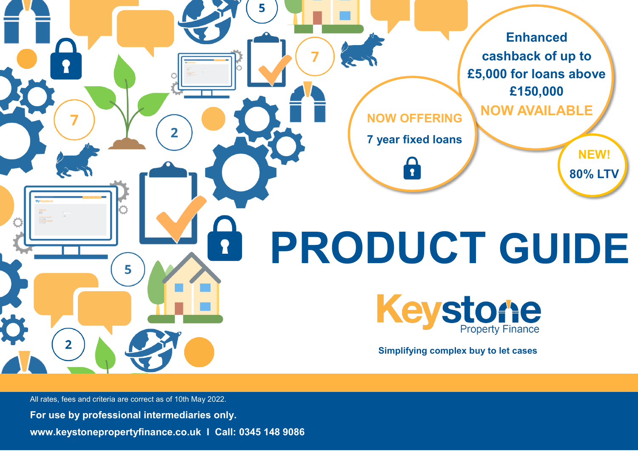

All rates, fees and criteria are correct as of 10th May 2022.

**For use by professional intermediaries only.**

**www.keystonepropertyfinance.co.uk I Call: 0345 148 9086**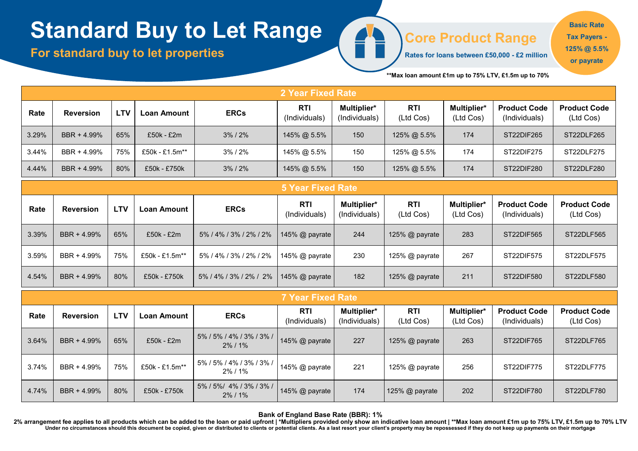# **Standard Buy to Let Range**

**For standard buy to let properties** 

**Core Product Range**

**Rates for loans between £50,000 - £2 million** 

**Basic Rate Tax Payers - 125% @ 5.5% or payrate**

**\*\*Max loan amount £1m up to 75% LTV, £1.5m up to 70%** 

|       | <b>2 Year Fixed Rate</b> |            |                    |                        |                             |                              |                         |                          |                                      |                                  |  |  |
|-------|--------------------------|------------|--------------------|------------------------|-----------------------------|------------------------------|-------------------------|--------------------------|--------------------------------------|----------------------------------|--|--|
| Rate  | <b>Reversion</b>         | <b>LTV</b> | <b>Loan Amount</b> | <b>ERCs</b>            | <b>RTI</b><br>(Individuals) | Multiplier*<br>(Individuals) | <b>RTI</b><br>(Ltd Cos) | Multiplier*<br>(Ltd Cos) | <b>Product Code</b><br>(Individuals) | <b>Product Code</b><br>(Ltd Cos) |  |  |
| 3.29% | BBR + 4.99%              | 65%        | £50k - £2m         | $3\% / 2\%$            | 145% @ 5.5%                 | 150                          | 125% @ 5.5%             | 174                      | ST22DIF265                           | ST22DLF265                       |  |  |
| 3.44% | BBR + 4.99%              | 75%        | £50k - £1.5m**     | $3\%$ / $2\%$          | 145% @ 5.5%                 | 150                          | 125% @ 5.5%             | 174                      | ST22DIF275                           | ST22DLF275                       |  |  |
| 4.44% | BBR + 4.99%              | 80%        | £50k - £750k       | $3\%$ / $2\%$          | 145% @ 5.5%                 | 150                          | 125% @ 5.5%             | 174                      | ST22DIF280                           | ST22DLF280                       |  |  |
|       |                          |            |                    |                        | <b>5 Year Fixed Rate</b>    |                              |                         |                          |                                      |                                  |  |  |
|       |                          |            |                    |                        |                             |                              |                         |                          |                                      |                                  |  |  |
| Rate  | <b>Reversion</b>         | <b>LTV</b> | Loan Amount        | <b>ERCs</b>            | <b>RTI</b><br>(Individuals) | Multiplier*<br>(Individuals) | <b>RTI</b><br>(Ltd Cos) | Multiplier*<br>(Ltd Cos) | <b>Product Code</b><br>(Individuals) | <b>Product Code</b><br>(Ltd Cos) |  |  |
| 3.39% | BBR + 4.99%              | 65%        | $£50k - £2m$       | 5% / 4% / 3% / 2% / 2% | 145% @ payrate              | 244                          | 125% @ payrate          | 283                      | ST22DIF565                           | ST22DLF565                       |  |  |
| 3.59% | BBR + 4.99%              | 75%        | £50k - £1.5m**     | 5% / 4% / 3% / 2% / 2% | 145% @ payrate              | 230                          | 125% @ payrate          | 267                      | ST22DIF575                           | ST22DLF575                       |  |  |
| 4.54% | BBR + 4.99%              | 80%        | £50k - £750k       | 5%/4%/3%/2%/2%         | 145% @ payrate              | 182                          | 125% @ payrate          | 211                      | ST22DIF580                           | ST22DLF580                       |  |  |

G<sup>1</sup>

|       | <b>7 Year Fixed Rate</b> |            |                |                                        |                             |                              |                  |                          |                                      |                                  |  |
|-------|--------------------------|------------|----------------|----------------------------------------|-----------------------------|------------------------------|------------------|--------------------------|--------------------------------------|----------------------------------|--|
| Rate  | <b>Reversion</b>         | <b>LTV</b> | Loan Amount    | <b>ERCs</b>                            | <b>RTI</b><br>(Individuals) | Multiplier*<br>(Individuals) | RTI<br>(Ltd Cos) | Multiplier*<br>(Ltd Cos) | <b>Product Code</b><br>(Individuals) | <b>Product Code</b><br>(Ltd Cos) |  |
| 3.64% | BBR + 4.99%              | 65%        | £50k - £2m     | 5% / 5% / 4% / 3% / 3% /<br>$2\%$ / 1% | 145% @ payrate              | 227                          | 125% @ payrate   | 263                      | ST22DIF765                           | ST22DLF765                       |  |
| 3.74% | BBR + 4.99%              | 75%        | £50k - £1.5m** | 5% / 5% / 4% / 3% / 3% /<br>$2\%$ / 1% | 145% @ payrate              | 221                          | 125% @ payrate   | 256                      | ST22DIF775                           | ST22DLF775                       |  |
| 4.74% | BBR + 4.99%              | 80%        | £50k - £750k   | 5% / 5% / 4% / 3% / 3% /<br>$2\%$ / 1% | 145% @ payrate              | 174                          | 125% @ payrate   | 202                      | ST22DIF780                           | ST22DLF780                       |  |

**Bank of England Base Rate (BBR): 1%** 

2% arrangement fee applies to all products which can be added to the loan or paid upfront | \*Multipliers provided only show an indicative loan amount | \*\*Max loan amount £1m up to 75% LTV, £1.5m up to 70% LTV<br>Under no circ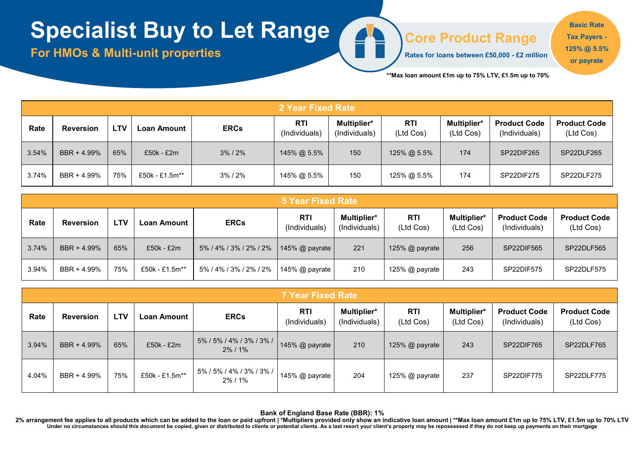# **Specialist Buy to Let Range**

**For HMOs & Multi-unit properties** 

#### **Core Product Range**

**Rates for loans between £50,000 - £2 million** 

**Basic Rate Tax Payers - 125% @ 5.5% or payrate**

**\*\*Max loan amount £1m up to 75% LTV, £1.5m up to 70%** 

|       | 2 Year Fixed Rate |            |                |               |                      |                                     |                  |                                 |                                      |                                  |  |
|-------|-------------------|------------|----------------|---------------|----------------------|-------------------------------------|------------------|---------------------------------|--------------------------------------|----------------------------------|--|
| Rate  | <b>Reversion</b>  | <b>LTV</b> | Loan Amount    | <b>ERCs</b>   | RTI<br>(Individuals) | <b>Multiplier*</b><br>(Individuals) | RTI<br>(Ltd Cos) | <b>Multiplier*</b><br>(Ltd Cos) | <b>Product Code</b><br>(Individuals) | <b>Product Code</b><br>(Ltd Cos) |  |
| 3.54% | BBR + 4.99%       | 65%        | £50k - £2m     | $3\%$ / $2\%$ | 145% @ 5.5%          | 150                                 | 125% @ 5.5%      | 174                             | SP22DIF265                           | SP22DLF265                       |  |
| 3.74% | BBR + 4.99%       | 75%        | £50k - £1.5m** | 3%/2%         | 145% @ 5.5%          | 150                                 | 125% @ 5.5%      | 174                             | SP22DIF275                           | SP22DLF275                       |  |

**CONTROL** 

|       | 5 Year Fixed Rate |            |                |                        |                             |                              |                         |                                 |                                      |                                  |
|-------|-------------------|------------|----------------|------------------------|-----------------------------|------------------------------|-------------------------|---------------------------------|--------------------------------------|----------------------------------|
| Rate  | <b>Reversion</b>  | <b>LTV</b> | Loan Amount    | <b>ERCs</b>            | <b>RTI</b><br>(Individuals) | Multiplier*<br>(Individuals) | <b>RTI</b><br>(Ltd Cos) | <b>Multiplier*</b><br>(Ltd Cos) | <b>Product Code</b><br>(Individuals) | <b>Product Code</b><br>(Ltd Cos) |
| 3.74% | BBR + 4.99%       | 65%        | $£50k - £2m$   | 5% / 4% / 3% / 2% / 2% | 145% $@$ payrate            | 221                          | 125% @ payrate          | 256                             | SP22DIF565                           | SP22DLF565                       |
| 3.94% | BBR + 4.99%       | 75%        | £50k - £1.5m** | 5% / 4% / 3% / 2% / 2% | 145% @ payrate              | 210                          | 125% $@$ payrate        | 243                             | SP22DIF575                           | SP22DLF575                       |

|       | <b>7 Year Fixed Rate</b> |            |                |                                        |                      |                              |                         |                          |                                      |                                  |  |
|-------|--------------------------|------------|----------------|----------------------------------------|----------------------|------------------------------|-------------------------|--------------------------|--------------------------------------|----------------------------------|--|
| Rate  | <b>Reversion</b>         | <b>LTV</b> | Loan Amount    | <b>ERCs</b>                            | RTI<br>(Individuals) | Multiplier*<br>(Individuals) | <b>RTI</b><br>(Ltd Cos) | Multiplier*<br>(Ltd Cos) | <b>Product Code</b><br>(Individuals) | <b>Product Code</b><br>(Ltd Cos) |  |
| 3.94% | BBR + 4.99%              | 65%        | £50k - £2m     | 5% / 5% / 4% / 3% / 3% /<br>$2\%$ / 1% | 145% $@$ payrate     | 210                          | 125% @ payrate          | 243                      | SP22DIF765                           | SP22DLF765                       |  |
| 4.04% | BBR + 4.99%              | 75%        | £50k - £1.5m** | 5% / 5% / 4% / 3% / 3% /  <br>2% / 1%  | 145% $@$ payrate     | 204                          | 125% $@$ payrate        | 237                      | SP22DIF775                           | SP22DLF775                       |  |

**Bank of England Base Rate (BBR): 1%**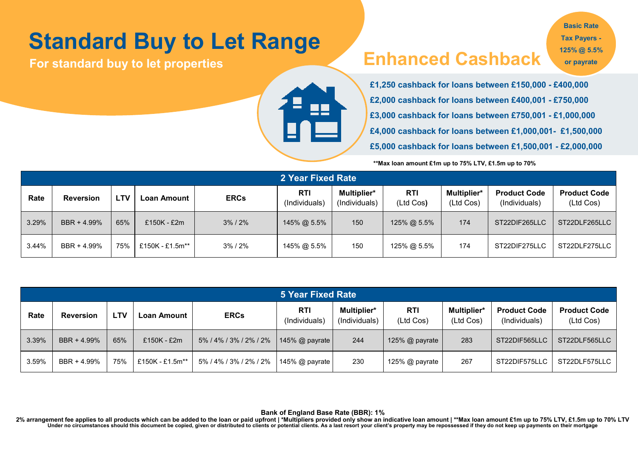# **Standard Buy to Let Range**

### **For standard buy to let properties Enhanced Cashback**

**Basic Rate Tax Payers - 125% @ 5.5% or payrate**



*Available on loans from £250k- £1m*  **£1,250 cashback for loans between £150,000 - £400,000 £2,000 cashback for loans between £400,001 - £750,000 £3,000 cashback for loans between £750,001 - £1,000,000 £4,000 cashback for loans between £1,000,001- £1,500,000 £5,000 cashback for loans between £1,500,001 - £2,000,000**

**\*\*Max loan amount £1m up to 75% LTV, £1.5m up to 70%** 

|       | 2 Year Fixed Rate |            |                 |               |                      |                              |                         |                          |                                      |                                  |  |  |
|-------|-------------------|------------|-----------------|---------------|----------------------|------------------------------|-------------------------|--------------------------|--------------------------------------|----------------------------------|--|--|
| Rate  | <b>Reversion</b>  | <b>LTV</b> | Loan Amount     | <b>ERCs</b>   | RTI<br>(Individuals) | Multiplier*<br>(Individuals) | <b>RTI</b><br>(Ltd Cos) | Multiplier*<br>(Ltd Cos) | <b>Product Code</b><br>(Individuals) | <b>Product Code</b><br>(Ltd Cos) |  |  |
| 3.29% | BBR + 4.99%       | 65%        | £150K - £2m     | $3\%$ / $2\%$ | 145% @ 5.5%          | 150                          | 125% @ 5.5%             | 174                      | ST22DIF265LLC                        | ST22DLF265LLC                    |  |  |
| 3.44% | BBR + 4.99%       | 75%        | £150K - £1.5m** | 3% / 2%       | 145% @ 5.5%          | 150                          | 125% @ 5.5%             | 174                      | ST22DIF275LLC                        | ST22DLF275LLC                    |  |  |

|       | <b>5 Year Fixed Rate</b> |            |                 |                        |                             |                                     |                  |                                 |                                      |                                  |  |
|-------|--------------------------|------------|-----------------|------------------------|-----------------------------|-------------------------------------|------------------|---------------------------------|--------------------------------------|----------------------------------|--|
| Rate  | <b>Reversion</b>         | <b>LTV</b> | Loan Amount     | <b>ERCs</b>            | <b>RTI</b><br>(Individuals) | <b>Multiplier*</b><br>(Individuals) | RTI<br>(Ltd Cos) | <b>Multiplier*</b><br>(Ltd Cos) | <b>Product Code</b><br>(Individuals) | <b>Product Code</b><br>(Ltd Cos) |  |
| 3.39% | BBR + 4.99%              | 65%        | £150K - £2m     | 5%/4%/3%/2%/2%         | 145% @ payrate              | 244                                 | 125% $@$ payrate | 283                             | ST22DIF565LLC                        | ST22DLF565LLC                    |  |
| 3.59% | BBR + 4.99%              | 75%        | £150K - £1.5m** | 5% / 4% / 3% / 2% / 2% | 145% $@$ payrate            | 230                                 | 125% @ payrate   | 267                             | ST22DIF575LLC                        | ST22DLF575LLC                    |  |

**Bank of England Base Rate (BBR): 1%**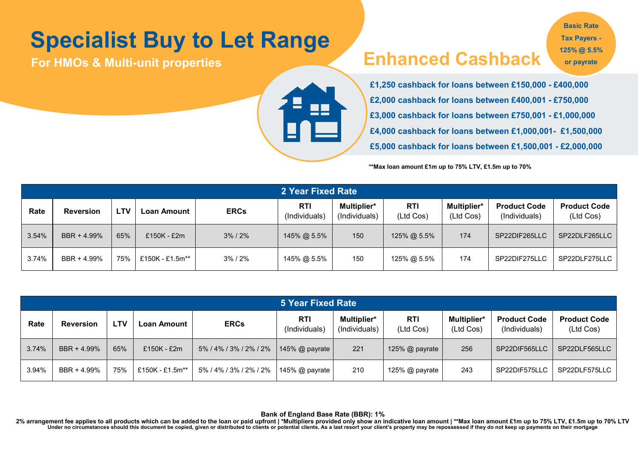# **Specialist Buy to Let Range**

**For HMOs & Multi-unit properties** 

#### **Enhanced Cashback**

**Basic Rate Tax Payers - 125% @ 5.5% or payrate**



**£1,250 cashback for loans between £150,000 - £400,000 £2,000 cashback for loans between £400,001 - £750,000 £3,000 cashback for loans between £750,001 - £1,000,000 £4,000 cashback for loans between £1,000,001- £1,500,000 £5,000 cashback for loans between £1,500,001 - £2,000,000**

**\*\*Max loan amount £1m up to 75% LTV, £1.5m up to 70%** 

|       | 2 Year Fixed Rate |            |                 |               |                             |                              |                         |                          |                                      |                                  |  |
|-------|-------------------|------------|-----------------|---------------|-----------------------------|------------------------------|-------------------------|--------------------------|--------------------------------------|----------------------------------|--|
| Rate  | <b>Reversion</b>  | <b>LTV</b> | -oan Amount     | <b>ERCs</b>   | <b>RTI</b><br>(Individuals) | Multiplier*<br>(Individuals) | <b>RTI</b><br>(Ltd Cos) | Multiplier*<br>(Ltd Cos) | <b>Product Code</b><br>(Individuals) | <b>Product Code</b><br>(Ltd Cos) |  |
| 3.54% | BBR + 4.99%       | 65%        | $£150K - £2m$   | $3\%$ / $2\%$ | 145% @ 5.5%                 | 150                          | 125% @ 5.5%             | 174                      | SP22DIF265LLC                        | SP22DLF265LLC                    |  |
| 3.74% | BBR + 4.99%       | 75%        | £150K - £1.5m** | 3%/2%         | 145% @ 5.5%                 | 150                          | 125% @ 5.5%             | 174                      | SP22DIF275LLC                        | SP22DLF275LLC                    |  |

|       | 5 Year Fixed Rate |     |                 |                        |                             |                              |                         |                                 |                                      |                                  |  |
|-------|-------------------|-----|-----------------|------------------------|-----------------------------|------------------------------|-------------------------|---------------------------------|--------------------------------------|----------------------------------|--|
| Rate  | <b>Reversion</b>  | ∟TV | Loan Amount     | <b>ERCs</b>            | <b>RTI</b><br>(Individuals) | Multiplier*<br>(Individuals) | <b>RTI</b><br>(Ltd Cos) | <b>Multiplier*</b><br>(Ltd Cos) | <b>Product Code</b><br>(Individuals) | <b>Product Code</b><br>(Ltd Cos) |  |
| 3.74% | BBR + 4.99%       | 65% | $£150K - £2m$   | 5% / 4% / 3% / 2% / 2% | 145% $\omega$ payrate       | 221                          | 125% $@$ payrate        | 256                             | SP22DIF565LLC                        | SP22DLF565LLC                    |  |
| 3.94% | BBR + 4.99%       | 75% | £150K - £1.5m** | 5% / 4% / 3% / 2% / 2% | 145% $@$ payrate            | 210                          | 125% $@$ payrate        | 243                             | SP22DIF575LLC                        | SP22DLF575LLC                    |  |

**Bank of England Base Rate (BBR): 1%**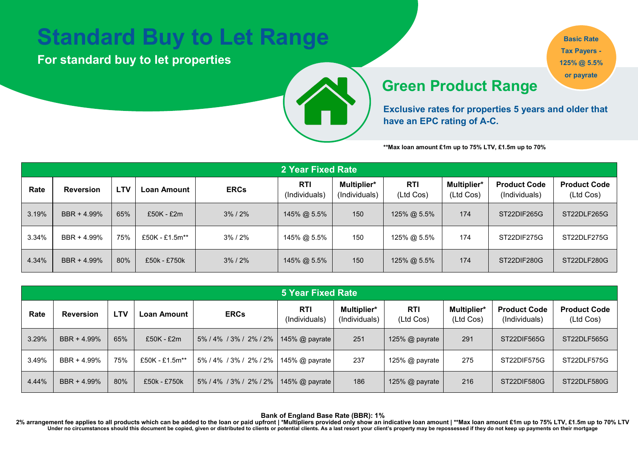### **Standard Buy to Let Range**

**For standard buy to let properties** 



**Basic Rate Tax Payers - 125% @ 5.5% or payrate**

#### **Available on Product Range**

**Exclusive rates for properties 5 years and older that have an EPC rating of A-C.**

**\*\*Max loan amount £1m up to 75% LTV, £1.5m up to 70%** 

|       | 2 Year Fixed Rate |            |                |               |                             |                              |                         |                          |                                      |                                  |  |  |
|-------|-------------------|------------|----------------|---------------|-----------------------------|------------------------------|-------------------------|--------------------------|--------------------------------------|----------------------------------|--|--|
| Rate  | <b>Reversion</b>  | <b>LTV</b> | Loan Amount    | <b>ERCs</b>   | <b>RTI</b><br>(Individuals) | Multiplier*<br>(Individuals) | <b>RTI</b><br>(Ltd Cos) | Multiplier*<br>(Ltd Cos) | <b>Product Code</b><br>(Individuals) | <b>Product Code</b><br>(Ltd Cos) |  |  |
| 3.19% | BBR + 4.99%       | 65%        | $£50K - £2m$   | $3\%$ / $2\%$ | 145% @ 5.5%                 | 150                          | 125% @ 5.5%             | 174                      | ST22DIF265G                          | ST22DLF265G                      |  |  |
| 3.34% | BBR + 4.99%       | 75%        | £50K - £1.5m** | 3%/2%         | 145% @ 5.5%                 | 150                          | 125% @ 5.5%             | 174                      | ST22DIF275G                          | ST22DLF275G                      |  |  |
| 4.34% | BBR + 4.99%       | 80%        | £50k - £750k   | $3\%$ / $2\%$ | 145% @ 5.5%                 | 150                          | 125% @ 5.5%             | 174                      | ST22DIF280G                          | ST22DLF280G                      |  |  |

|       | <b>5 Year Fixed Rate</b> |            |                |                        |                      |                              |                  |                                 |                                      |                                  |  |  |
|-------|--------------------------|------------|----------------|------------------------|----------------------|------------------------------|------------------|---------------------------------|--------------------------------------|----------------------------------|--|--|
| Rate  | <b>Reversion</b>         | <b>LTV</b> | Loan Amount    | <b>ERCs</b>            | RTI<br>(Individuals) | Multiplier*<br>(Individuals) | RTI<br>(Ltd Cos) | <b>Multiplier*</b><br>(Ltd Cos) | <b>Product Code</b><br>(Individuals) | <b>Product Code</b><br>(Ltd Cos) |  |  |
| 3.29% | BBR + 4.99%              | 65%        | £50K - £2m     | 5% / 4% / 3% / 2% / 2% | 145% $@$ payrate     | 251                          | 125% @ payrate   | 291                             | ST22DIF565G                          | ST22DLF565G                      |  |  |
| 3.49% | BBR + 4.99%              | 75%        | £50K - £1.5m** | 5% / 4% / 3% / 2% / 2% | 145% $@$ payrate     | 237                          | 125% $@$ payrate | 275                             | ST22DIF575G                          | ST22DLF575G                      |  |  |
| 4.44% | BBR + 4.99%              | 80%        | £50k - £750k   | 5% / 4% / 3% / 2% / 2% | 145% @ payrate       | 186                          | 125% @ payrate   | 216                             | ST22DIF580G                          | ST22DLF580G                      |  |  |

**Bank of England Base Rate (BBR): 1%**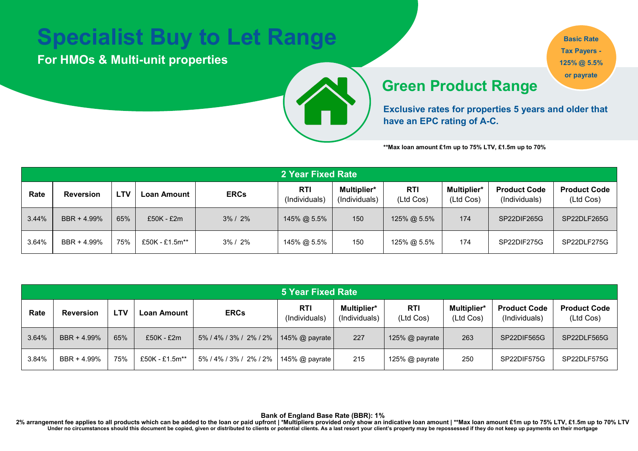# **Specialist Buy to Let Range**

**For HMOs & Multi-unit properties** 

**Basic Rate Tax Payers - 125% @ 5.5% or payrate**

#### **Available on Product Range**

**Exclusive rates for properties 5 years and older that have an EPC rating of A-C.**

**\*\*Max loan amount £1m up to 75% LTV, £1.5m up to 70%** 

|       | 2 Year Fixed Rate |            |                |             |                             |                                     |                         |                                 |                                      |                                  |  |
|-------|-------------------|------------|----------------|-------------|-----------------------------|-------------------------------------|-------------------------|---------------------------------|--------------------------------------|----------------------------------|--|
| Rate  | <b>Reversion</b>  | <b>LTV</b> | Loan Amount    | <b>ERCs</b> | <b>RTI</b><br>(Individuals) | <b>Multiplier*</b><br>(Individuals) | <b>RTI</b><br>(Ltd Cos) | <b>Multiplier*</b><br>(Ltd Cos) | <b>Product Code</b><br>(Individuals) | <b>Product Code</b><br>(Ltd Cos) |  |
| 3.44% | BBR + 4.99%       | 65%        | $£50K - £2m$   | $3\% / 2\%$ | 145% @ 5.5%                 | 150                                 | $125\%$ @ 5.5%          | 174                             | SP22DIF265G                          | SP22DLF265G                      |  |
| 3.64% | BBR + 4.99%       | 75%        | £50K - £1.5m** | $3\% / 2\%$ | 145% @ 5.5%                 | 150                                 | 125% @ 5.5%             | 174                             | SP22DIF275G                          | SP22DLF275G                      |  |

| <b>5 Year Fixed Rate</b> |                  |            |                |                        |                             |                              |                         |                                 |                                      |                                  |  |  |
|--------------------------|------------------|------------|----------------|------------------------|-----------------------------|------------------------------|-------------------------|---------------------------------|--------------------------------------|----------------------------------|--|--|
| Rate                     | <b>Reversion</b> | <b>LTV</b> | Loan Amount    | <b>ERCs</b>            | <b>RTI</b><br>(Individuals) | Multiplier*<br>(Individuals) | <b>RTI</b><br>(Ltd Cos) | <b>Multiplier*</b><br>(Ltd Cos) | <b>Product Code</b><br>(Individuals) | <b>Product Code</b><br>(Ltd Cos) |  |  |
| 3.64%                    | BBR + 4.99%      | 65%        | £50K - £2m     | 5% / 4% / 3% / 2% / 2% | 145% @ payrate              | 227                          | 125% @ payrate          | 263                             | SP22DIF565G                          | SP22DLF565G                      |  |  |
| 3.84%                    | BBR + 4.99%      | 75%        | £50K - £1.5m** | 5% / 4% / 3% / 2% / 2% | 145% @ payrate              | 215                          | 125% @ payrate          | 250                             | SP22DIF575G                          | SP22DLF575G                      |  |  |

**Bank of England Base Rate (BBR): 1%**